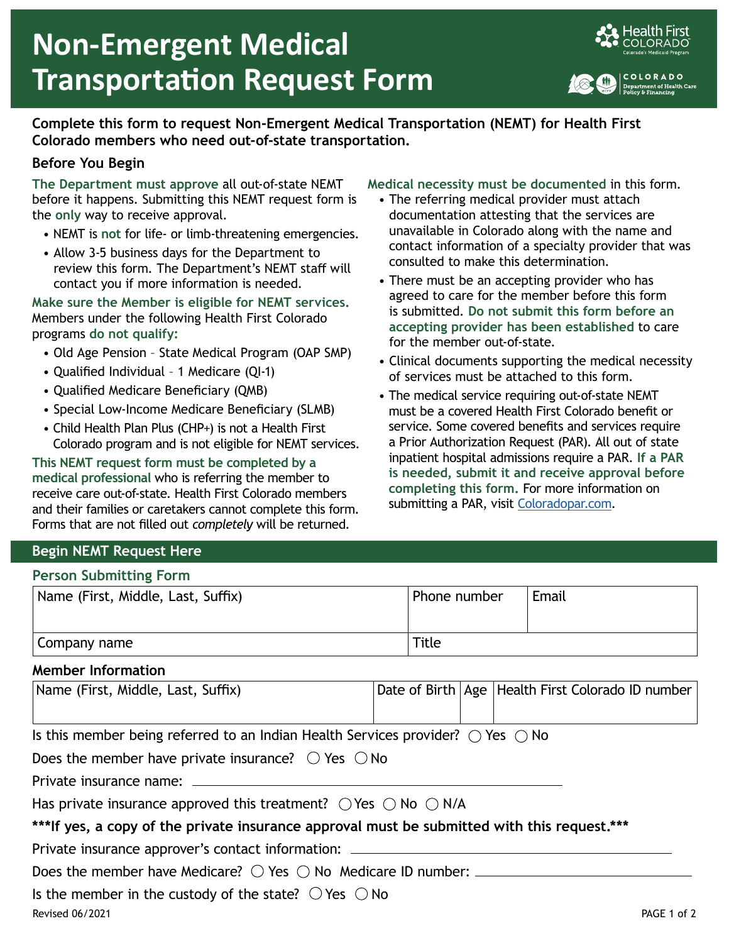

## **Complete this form to request Non-Emergent Medical Transportation (NEMT) for Health First Colorado members who need out-of-state transportation.**

## **Before You Begin**

**The Department must approve** all out-of-state NEMT before it happens. Submitting this NEMT request form is the **only** way to receive approval.

- NEMT is **not** for life- or limb-threatening emergencies.
- Allow 3-5 business days for the Department to review this form. The Department's NEMT staff will contact you if more information is needed.

**Make sure the Member is eligible for NEMT services.** Members under the following Health First Colorado programs **do not qualify:**

- Old Age Pension State Medical Program (OAP SMP)
- Qualified Individual 1 Medicare (QI-1)
- Qualified Medicare Beneficiary (QMB)
- Special Low-Income Medicare Beneficiary (SLMB)
- Child Health Plan Plus (CHP+) is not a Health First Colorado program and is not eligible for NEMT services.

**This NEMT request form must be completed by a medical professional** who is referring the member to receive care out-of-state. Health First Colorado members and their families or caretakers cannot complete this form. Forms that are not filled out *completely* will be returned.

#### **Medical necessity must be documented** in this form.

- The referring medical provider must attach documentation attesting that the services are unavailable in Colorado along with the name and contact information of a specialty provider that was consulted to make this determination.
- There must be an accepting provider who has agreed to care for the member before this form is submitted. **Do not submit this form before an accepting provider has been established** to care for the member out-of-state.
- Clinical documents supporting the medical necessity of services must be attached to this form.
- The medical service requiring out-of-state NEMT must be a covered Health First Colorado benefit or service. Some covered benefits and services require a Prior Authorization Request (PAR). All out of state inpatient hospital admissions require a PAR. **If a PAR is needed, submit it and receive approval before completing this form.** For more information on submitting a PAR, visit [Coloradopar.com.](http://coloradopar.com/)

### **Begin NEMT Request Here**

#### **Person Submitting Form**

| Name (First, Middle, Last, Suffix) | Phone number | Email |
|------------------------------------|--------------|-------|
| Company name                       | Title        |       |

#### **Member Information**

| Name (First, Middle, Last, Suffix) |  | Date of Birth   Age   Health First Colorado ID number |
|------------------------------------|--|-------------------------------------------------------|
|                                    |  |                                                       |

|  |  |  |  | Is this member being referred to an Indian Health Services provider? $\bigcirc$ Yes $\bigcirc$ No |  |
|--|--|--|--|---------------------------------------------------------------------------------------------------|--|
|  |  |  |  |                                                                                                   |  |

| Does the member have private insurance? $\circlearrowright$ Yes $\circlearrowright$ No |  |  |
|----------------------------------------------------------------------------------------|--|--|
|----------------------------------------------------------------------------------------|--|--|

Private insurance name:

|  |  | Has private insurance approved this treatment? $\bigcirc$ Yes $\bigcirc$ No $\bigcirc$ N/A |  |  |
|--|--|--------------------------------------------------------------------------------------------|--|--|
|--|--|--------------------------------------------------------------------------------------------|--|--|

# **\*\*\*If yes, a copy of the private insurance approval must be submitted with this request.\*\*\***

Private insurance approver's contact information:

Does the member have Medicare?  $\bigcirc$  Yes  $\bigcirc$  No Medicare ID number: \_\_\_\_\_\_\_\_

Is the member in the custody of the state?  $\bigcirc$  Yes  $\bigcirc$  No

Revised 06/2021 PAGE 1 of 2